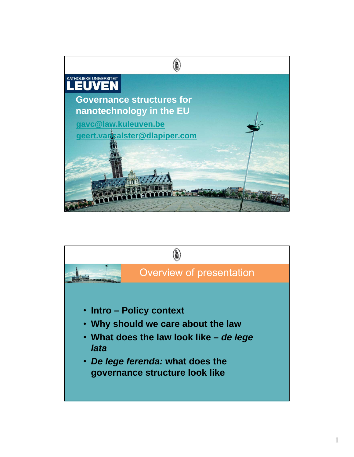

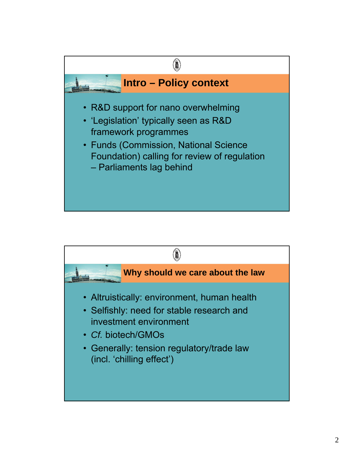

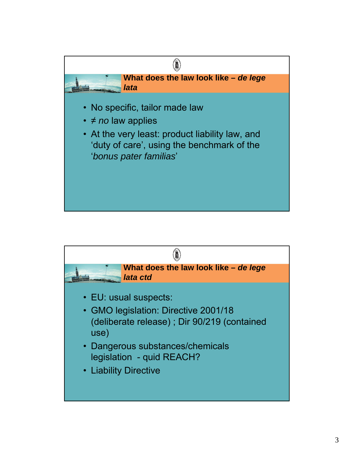

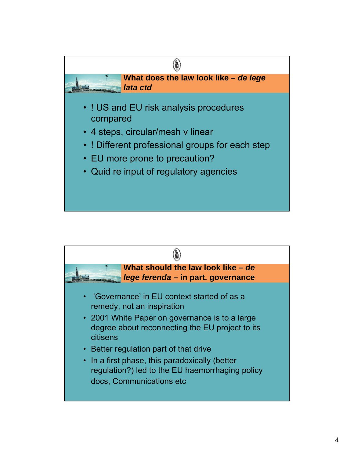

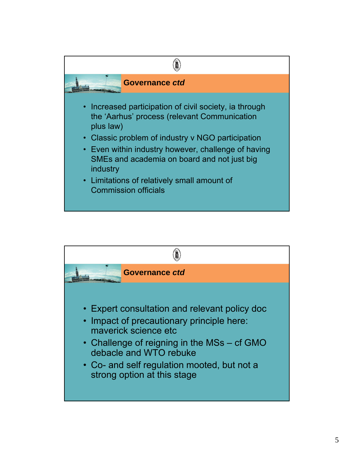